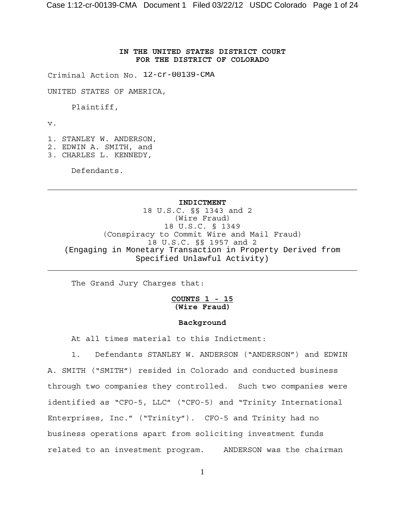## **IN THE UNITED STATES DISTRICT COURT FOR THE DISTRICT OF COLORADO**

Criminal Action No. 12-cr-00139-CMA

UNITED STATES OF AMERICA,

Plaintiff,

v.

- 1. STANLEY W. ANDERSON,
- 2. EDWIN A. SMITH, and
- 3. CHARLES L. KENNEDY,

Defendants.

#### **INDICTMENT**

18 U.S.C. §§ 1343 and 2 (Wire Fraud) 18 U.S.C. § 1349 (Conspiracy to Commit Wire and Mail Fraud) 18 U.S.C. §§ 1957 and 2 (Engaging in Monetary Transaction in Property Derived from Specified Unlawful Activity)

The Grand Jury Charges that:

## **COUNTS 1 - 15 (Wire Fraud)**

#### **Background**

At all times material to this Indictment:

1. Defendants STANLEY W. ANDERSON ("ANDERSON") and EDWIN A. SMITH ("SMITH") resided in Colorado and conducted business through two companies they controlled. Such two companies were identified as "CFO-5, LLC" ("CFO-5) and "Trinity International Enterprises, Inc." ("Trinity"). CFO-5 and Trinity had no business operations apart from soliciting investment funds related to an investment program. ANDERSON was the chairman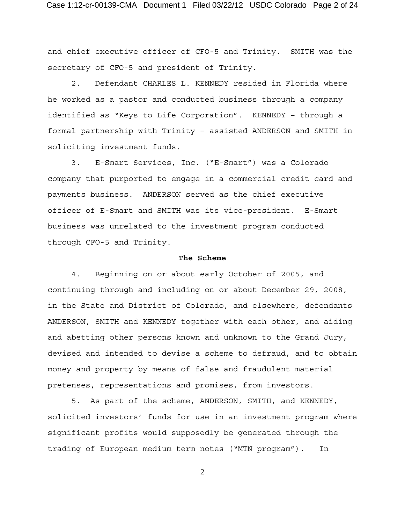and chief executive officer of CFO-5 and Trinity. SMITH was the secretary of CFO-5 and president of Trinity.

2. Defendant CHARLES L. KENNEDY resided in Florida where he worked as a pastor and conducted business through a company identified as "Keys to Life Corporation". KENNEDY – through a formal partnership with Trinity – assisted ANDERSON and SMITH in soliciting investment funds.

3. E-Smart Services, Inc. ("E-Smart") was a Colorado company that purported to engage in a commercial credit card and payments business. ANDERSON served as the chief executive officer of E-Smart and SMITH was its vice-president. E-Smart business was unrelated to the investment program conducted through CFO-5 and Trinity.

## **The Scheme**

4. Beginning on or about early October of 2005, and continuing through and including on or about December 29, 2008, in the State and District of Colorado, and elsewhere, defendants ANDERSON, SMITH and KENNEDY together with each other, and aiding and abetting other persons known and unknown to the Grand Jury, devised and intended to devise a scheme to defraud, and to obtain money and property by means of false and fraudulent material pretenses, representations and promises, from investors.

5. As part of the scheme, ANDERSON, SMITH, and KENNEDY, solicited investors' funds for use in an investment program where significant profits would supposedly be generated through the trading of European medium term notes ("MTN program"). In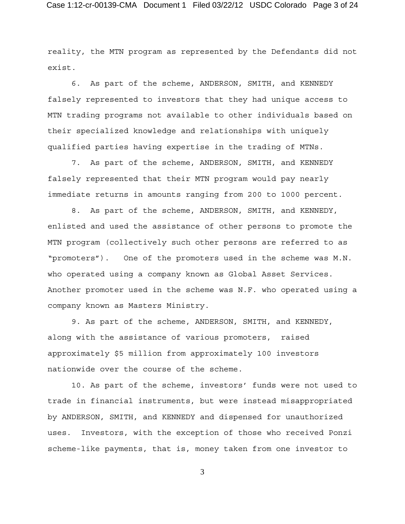reality, the MTN program as represented by the Defendants did not exist.

6. As part of the scheme, ANDERSON, SMITH, and KENNEDY falsely represented to investors that they had unique access to MTN trading programs not available to other individuals based on their specialized knowledge and relationships with uniquely qualified parties having expertise in the trading of MTNs.

7. As part of the scheme, ANDERSON, SMITH, and KENNEDY falsely represented that their MTN program would pay nearly immediate returns in amounts ranging from 200 to 1000 percent.

8. As part of the scheme, ANDERSON, SMITH, and KENNEDY, enlisted and used the assistance of other persons to promote the MTN program (collectively such other persons are referred to as "promoters"). One of the promoters used in the scheme was M.N. who operated using a company known as Global Asset Services. Another promoter used in the scheme was N.F. who operated using a company known as Masters Ministry.

9. As part of the scheme, ANDERSON, SMITH, and KENNEDY, along with the assistance of various promoters, raised approximately \$5 million from approximately 100 investors nationwide over the course of the scheme.

10. As part of the scheme, investors' funds were not used to trade in financial instruments, but were instead misappropriated by ANDERSON, SMITH, and KENNEDY and dispensed for unauthorized uses. Investors, with the exception of those who received Ponzi scheme-like payments, that is, money taken from one investor to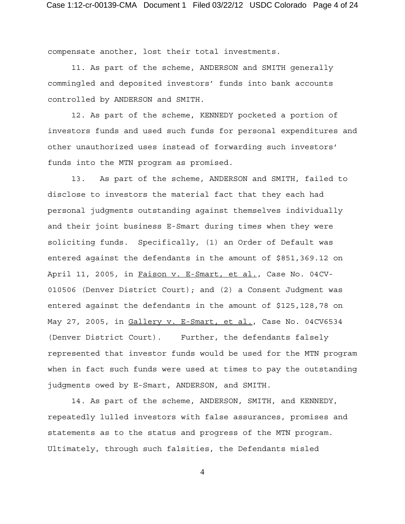compensate another, lost their total investments.

11. As part of the scheme, ANDERSON and SMITH generally commingled and deposited investors' funds into bank accounts controlled by ANDERSON and SMITH.

12. As part of the scheme, KENNEDY pocketed a portion of investors funds and used such funds for personal expenditures and other unauthorized uses instead of forwarding such investors' funds into the MTN program as promised.

13. As part of the scheme, ANDERSON and SMITH, failed to disclose to investors the material fact that they each had personal judgments outstanding against themselves individually and their joint business E-Smart during times when they were soliciting funds. Specifically, (1) an Order of Default was entered against the defendants in the amount of \$851,369.12 on April 11, 2005, in Faison v. E-Smart, et al., Case No. 04CV-010506 (Denver District Court); and (2) a Consent Judgment was entered against the defendants in the amount of \$125,128,78 on May 27, 2005, in Gallery v. E-Smart, et al., Case No. 04CV6534 (Denver District Court). Further, the defendants falsely represented that investor funds would be used for the MTN program when in fact such funds were used at times to pay the outstanding judgments owed by E-Smart, ANDERSON, and SMITH.

14. As part of the scheme, ANDERSON, SMITH, and KENNEDY, repeatedly lulled investors with false assurances, promises and statements as to the status and progress of the MTN program. Ultimately, through such falsities, the Defendants misled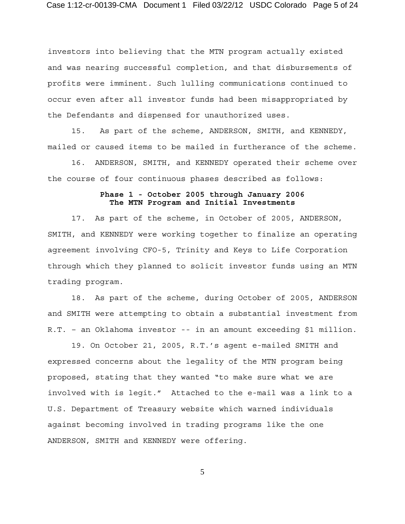investors into believing that the MTN program actually existed and was nearing successful completion, and that disbursements of profits were imminent. Such lulling communications continued to occur even after all investor funds had been misappropriated by the Defendants and dispensed for unauthorized uses.

15. As part of the scheme, ANDERSON, SMITH, and KENNEDY, mailed or caused items to be mailed in furtherance of the scheme.

16. ANDERSON, SMITH, and KENNEDY operated their scheme over the course of four continuous phases described as follows:

## **Phase 1 - October 2005 through January 2006 The MTN Program and Initial Investments**

17. As part of the scheme, in October of 2005, ANDERSON, SMITH, and KENNEDY were working together to finalize an operating agreement involving CFO-5, Trinity and Keys to Life Corporation through which they planned to solicit investor funds using an MTN trading program.

18. As part of the scheme, during October of 2005, ANDERSON and SMITH were attempting to obtain a substantial investment from R.T. – an Oklahoma investor -- in an amount exceeding \$1 million.

19. On October 21, 2005, R.T.'s agent e-mailed SMITH and expressed concerns about the legality of the MTN program being proposed, stating that they wanted "to make sure what we are involved with is legit." Attached to the e-mail was a link to a U.S. Department of Treasury website which warned individuals against becoming involved in trading programs like the one ANDERSON, SMITH and KENNEDY were offering.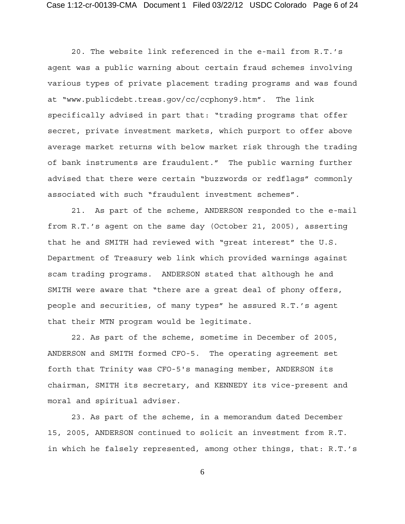20. The website link referenced in the e-mail from R.T.'s agent was a public warning about certain fraud schemes involving various types of private placement trading programs and was found at "www.publicdebt.treas.gov/cc/ccphony9.htm". The link specifically advised in part that: "trading programs that offer secret, private investment markets, which purport to offer above average market returns with below market risk through the trading of bank instruments are fraudulent." The public warning further advised that there were certain "buzzwords or redflags" commonly associated with such "fraudulent investment schemes".

21. As part of the scheme, ANDERSON responded to the e-mail from R.T.'s agent on the same day (October 21, 2005), asserting that he and SMITH had reviewed with "great interest" the U.S. Department of Treasury web link which provided warnings against scam trading programs. ANDERSON stated that although he and SMITH were aware that "there are a great deal of phony offers, people and securities, of many types" he assured R.T.'s agent that their MTN program would be legitimate.

22. As part of the scheme, sometime in December of 2005, ANDERSON and SMITH formed CFO-5. The operating agreement set forth that Trinity was CFO-5's managing member, ANDERSON its chairman, SMITH its secretary, and KENNEDY its vice-present and moral and spiritual adviser.

23. As part of the scheme, in a memorandum dated December 15, 2005, ANDERSON continued to solicit an investment from R.T. in which he falsely represented, among other things, that: R.T.'s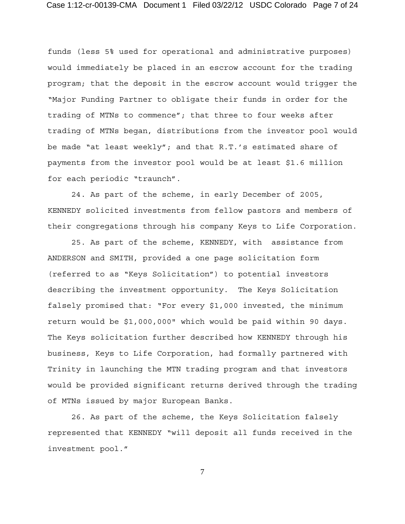funds (less 5% used for operational and administrative purposes) would immediately be placed in an escrow account for the trading program; that the deposit in the escrow account would trigger the "Major Funding Partner to obligate their funds in order for the trading of MTNs to commence"; that three to four weeks after trading of MTNs began, distributions from the investor pool would be made "at least weekly"; and that R.T.'s estimated share of payments from the investor pool would be at least \$1.6 million for each periodic "traunch".

24. As part of the scheme, in early December of 2005, KENNEDY solicited investments from fellow pastors and members of their congregations through his company Keys to Life Corporation.

25. As part of the scheme, KENNEDY, with assistance from ANDERSON and SMITH, provided a one page solicitation form (referred to as "Keys Solicitation") to potential investors describing the investment opportunity. The Keys Solicitation falsely promised that: "For every \$1,000 invested, the minimum return would be \$1,000,000" which would be paid within 90 days. The Keys solicitation further described how KENNEDY through his business, Keys to Life Corporation, had formally partnered with Trinity in launching the MTN trading program and that investors would be provided significant returns derived through the trading of MTNs issued by major European Banks.

26. As part of the scheme, the Keys Solicitation falsely represented that KENNEDY "will deposit all funds received in the investment pool."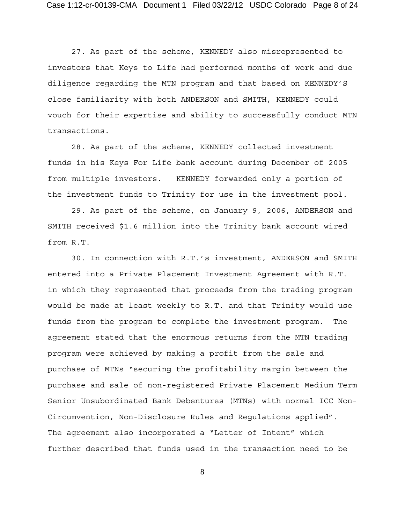27. As part of the scheme, KENNEDY also misrepresented to investors that Keys to Life had performed months of work and due diligence regarding the MTN program and that based on KENNEDY'S close familiarity with both ANDERSON and SMITH, KENNEDY could vouch for their expertise and ability to successfully conduct MTN transactions.

28. As part of the scheme, KENNEDY collected investment funds in his Keys For Life bank account during December of 2005 from multiple investors. KENNEDY forwarded only a portion of the investment funds to Trinity for use in the investment pool.

29. As part of the scheme, on January 9, 2006, ANDERSON and SMITH received \$1.6 million into the Trinity bank account wired from R.T.

30. In connection with R.T.'s investment, ANDERSON and SMITH entered into a Private Placement Investment Agreement with R.T. in which they represented that proceeds from the trading program would be made at least weekly to R.T. and that Trinity would use funds from the program to complete the investment program. The agreement stated that the enormous returns from the MTN trading program were achieved by making a profit from the sale and purchase of MTNs "securing the profitability margin between the purchase and sale of non-registered Private Placement Medium Term Senior Unsubordinated Bank Debentures (MTNs) with normal ICC Non-Circumvention, Non-Disclosure Rules and Regulations applied". The agreement also incorporated a "Letter of Intent" which further described that funds used in the transaction need to be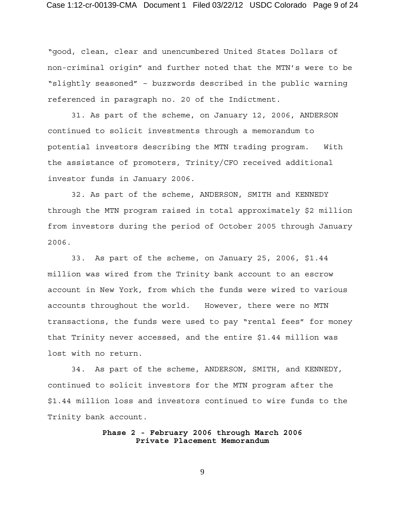"good, clean, clear and unencumbered United States Dollars of non-criminal origin" and further noted that the MTN's were to be "slightly seasoned" – buzzwords described in the public warning referenced in paragraph no. 20 of the Indictment.

31. As part of the scheme, on January 12, 2006, ANDERSON continued to solicit investments through a memorandum to potential investors describing the MTN trading program. With the assistance of promoters, Trinity/CFO received additional investor funds in January 2006.

32. As part of the scheme, ANDERSON, SMITH and KENNEDY through the MTN program raised in total approximately \$2 million from investors during the period of October 2005 through January 2006.

 33. As part of the scheme, on January 25, 2006, \$1.44 million was wired from the Trinity bank account to an escrow account in New York, from which the funds were wired to various accounts throughout the world. However, there were no MTN transactions, the funds were used to pay "rental fees" for money that Trinity never accessed, and the entire \$1.44 million was lost with no return.

34. As part of the scheme, ANDERSON, SMITH, and KENNEDY, continued to solicit investors for the MTN program after the \$1.44 million loss and investors continued to wire funds to the Trinity bank account.

## **Phase 2 - February 2006 through March 2006 Private Placement Memorandum**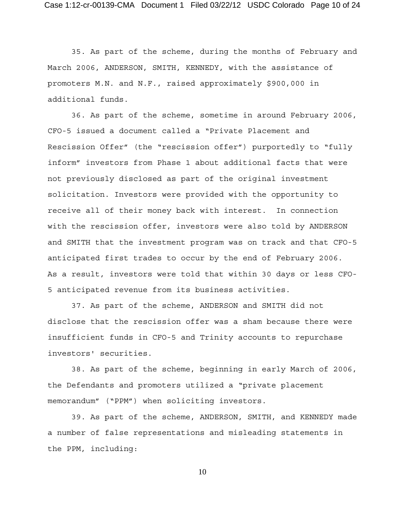35. As part of the scheme, during the months of February and March 2006, ANDERSON, SMITH, KENNEDY, with the assistance of promoters M.N. and N.F., raised approximately \$900,000 in additional funds.

36. As part of the scheme, sometime in around February 2006, CFO-5 issued a document called a "Private Placement and Rescission Offer" (the "rescission offer") purportedly to "fully inform" investors from Phase 1 about additional facts that were not previously disclosed as part of the original investment solicitation. Investors were provided with the opportunity to receive all of their money back with interest. In connection with the rescission offer, investors were also told by ANDERSON and SMITH that the investment program was on track and that CFO-5 anticipated first trades to occur by the end of February 2006. As a result, investors were told that within 30 days or less CFO-5 anticipated revenue from its business activities.

37. As part of the scheme, ANDERSON and SMITH did not disclose that the rescission offer was a sham because there were insufficient funds in CFO-5 and Trinity accounts to repurchase investors' securities.

38. As part of the scheme, beginning in early March of 2006, the Defendants and promoters utilized a "private placement memorandum" ("PPM") when soliciting investors.

39. As part of the scheme, ANDERSON, SMITH, and KENNEDY made a number of false representations and misleading statements in the PPM, including: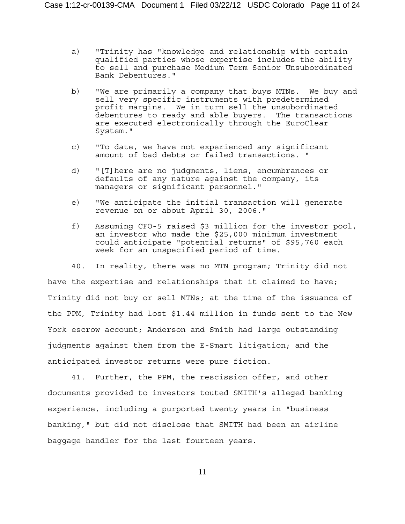- a) "Trinity has "knowledge and relationship with certain qualified parties whose expertise includes the ability to sell and purchase Medium Term Senior Unsubordinated Bank Debentures."
- b) "We are primarily a company that buys MTNs. We buy and sell very specific instruments with predetermined profit margins. We in turn sell the unsubordinated debentures to ready and able buyers. The transactions are executed electronically through the EuroClear System."
- c) "To date, we have not experienced any significant amount of bad debts or failed transactions. "
- d) "[T]here are no judgments, liens, encumbrances or defaults of any nature against the company, its managers or significant personnel."
- e) "We anticipate the initial transaction will generate revenue on or about April 30, 2006."
- f) Assuming CFO-5 raised \$3 million for the investor pool, an investor who made the \$25,000 minimum investment could anticipate "potential returns" of \$95,760 each week for an unspecified period of time.

40. In reality, there was no MTN program; Trinity did not have the expertise and relationships that it claimed to have; Trinity did not buy or sell MTNs; at the time of the issuance of the PPM, Trinity had lost \$1.44 million in funds sent to the New York escrow account; Anderson and Smith had large outstanding judgments against them from the E-Smart litigation; and the anticipated investor returns were pure fiction.

41. Further, the PPM, the rescission offer, and other documents provided to investors touted SMITH's alleged banking experience, including a purported twenty years in "business banking," but did not disclose that SMITH had been an airline baggage handler for the last fourteen years.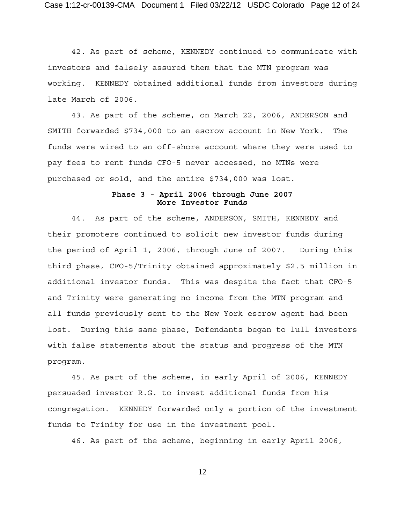42. As part of scheme, KENNEDY continued to communicate with investors and falsely assured them that the MTN program was working. KENNEDY obtained additional funds from investors during late March of 2006.

43. As part of the scheme, on March 22, 2006, ANDERSON and SMITH forwarded \$734,000 to an escrow account in New York. The funds were wired to an off-shore account where they were used to pay fees to rent funds CFO-5 never accessed, no MTNs were purchased or sold, and the entire \$734,000 was lost.

## **Phase 3 - April 2006 through June 2007 More Investor Funds**

44. As part of the scheme, ANDERSON, SMITH, KENNEDY and their promoters continued to solicit new investor funds during the period of April 1, 2006, through June of 2007. During this third phase, CFO-5/Trinity obtained approximately \$2.5 million in additional investor funds. This was despite the fact that CFO-5 and Trinity were generating no income from the MTN program and all funds previously sent to the New York escrow agent had been lost. During this same phase, Defendants began to lull investors with false statements about the status and progress of the MTN program.

45. As part of the scheme, in early April of 2006, KENNEDY persuaded investor R.G. to invest additional funds from his congregation. KENNEDY forwarded only a portion of the investment funds to Trinity for use in the investment pool.

46. As part of the scheme, beginning in early April 2006,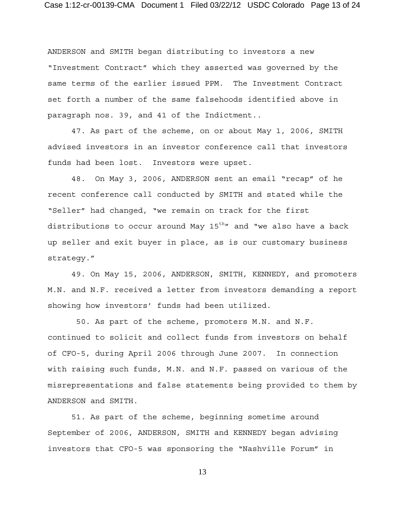ANDERSON and SMITH began distributing to investors a new "Investment Contract" which they asserted was governed by the same terms of the earlier issued PPM. The Investment Contract set forth a number of the same falsehoods identified above in paragraph nos. 39, and 41 of the Indictment..

47. As part of the scheme, on or about May 1, 2006, SMITH advised investors in an investor conference call that investors funds had been lost. Investors were upset.

48. On May 3, 2006, ANDERSON sent an email "recap" of he recent conference call conducted by SMITH and stated while the "Seller" had changed, "we remain on track for the first distributions to occur around May  $15^{th}$ " and "we also have a back up seller and exit buyer in place, as is our customary business strategy."

49. On May 15, 2006, ANDERSON, SMITH, KENNEDY, and promoters M.N. and N.F. received a letter from investors demanding a report showing how investors' funds had been utilized.

 50. As part of the scheme, promoters M.N. and N.F. continued to solicit and collect funds from investors on behalf of CFO-5, during April 2006 through June 2007. In connection with raising such funds, M.N. and N.F. passed on various of the misrepresentations and false statements being provided to them by ANDERSON and SMITH.

51. As part of the scheme, beginning sometime around September of 2006, ANDERSON, SMITH and KENNEDY began advising investors that CFO-5 was sponsoring the "Nashville Forum" in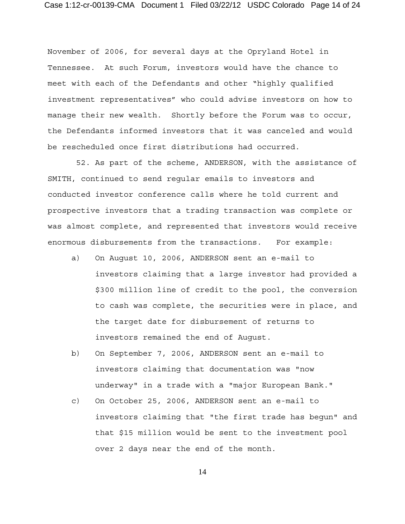November of 2006, for several days at the Opryland Hotel in Tennessee. At such Forum, investors would have the chance to meet with each of the Defendants and other "highly qualified investment representatives" who could advise investors on how to manage their new wealth. Shortly before the Forum was to occur, the Defendants informed investors that it was canceled and would be rescheduled once first distributions had occurred.

 52. As part of the scheme, ANDERSON, with the assistance of SMITH, continued to send regular emails to investors and conducted investor conference calls where he told current and prospective investors that a trading transaction was complete or was almost complete, and represented that investors would receive enormous disbursements from the transactions. For example:

- a) On August 10, 2006, ANDERSON sent an e-mail to investors claiming that a large investor had provided a \$300 million line of credit to the pool, the conversion to cash was complete, the securities were in place, and the target date for disbursement of returns to investors remained the end of August.
- b) On September 7, 2006, ANDERSON sent an e-mail to investors claiming that documentation was "now underway" in a trade with a "major European Bank."
- c) On October 25, 2006, ANDERSON sent an e-mail to investors claiming that "the first trade has begun" and that \$15 million would be sent to the investment pool over 2 days near the end of the month.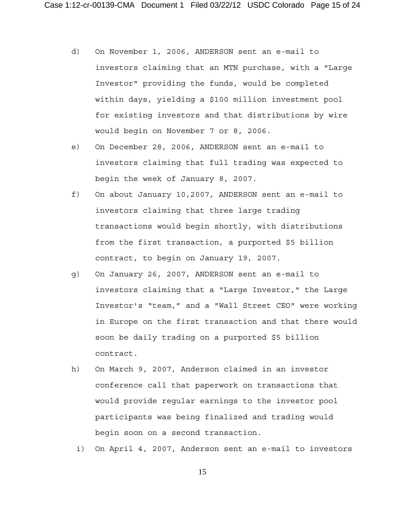- d) On November 1, 2006, ANDERSON sent an e-mail to investors claiming that an MTN purchase, with a "Large Investor" providing the funds, would be completed within days, yielding a \$100 million investment pool for existing investors and that distributions by wire would begin on November 7 or 8, 2006.
- e) On December 28, 2006, ANDERSON sent an e-mail to investors claiming that full trading was expected to begin the week of January 8, 2007.
- f) On about January 10,2007, ANDERSON sent an e-mail to investors claiming that three large trading transactions would begin shortly, with distributions from the first transaction, a purported \$5 billion contract, to begin on January 19, 2007.
- g) On January 26, 2007, ANDERSON sent an e-mail to investors claiming that a "Large Investor," the Large Investor's "team," and a "Wall Street CEO" were working in Europe on the first transaction and that there would soon be daily trading on a purported \$5 billion contract.
- h) On March 9, 2007, Anderson claimed in an investor conference call that paperwork on transactions that would provide regular earnings to the investor pool participants was being finalized and trading would begin soon on a second transaction.
	- i) On April 4, 2007, Anderson sent an e-mail to investors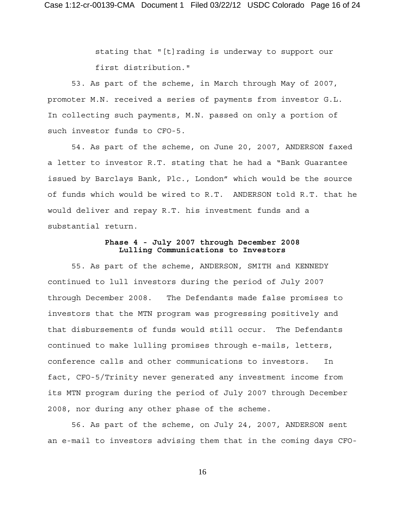stating that "[t]rading is underway to support our first distribution."

53. As part of the scheme, in March through May of 2007, promoter M.N. received a series of payments from investor G.L. In collecting such payments, M.N. passed on only a portion of such investor funds to CFO-5.

54. As part of the scheme, on June 20, 2007, ANDERSON faxed a letter to investor R.T. stating that he had a "Bank Guarantee issued by Barclays Bank, Plc., London" which would be the source of funds which would be wired to R.T. ANDERSON told R.T. that he would deliver and repay R.T. his investment funds and a substantial return.

## **Phase 4 - July 2007 through December 2008 Lulling Communications to Investors**

55. As part of the scheme, ANDERSON, SMITH and KENNEDY continued to lull investors during the period of July 2007 through December 2008. The Defendants made false promises to investors that the MTN program was progressing positively and that disbursements of funds would still occur. The Defendants continued to make lulling promises through e-mails, letters, conference calls and other communications to investors. In fact, CFO-5/Trinity never generated any investment income from its MTN program during the period of July 2007 through December 2008, nor during any other phase of the scheme.

56. As part of the scheme, on July 24, 2007, ANDERSON sent an e-mail to investors advising them that in the coming days CFO-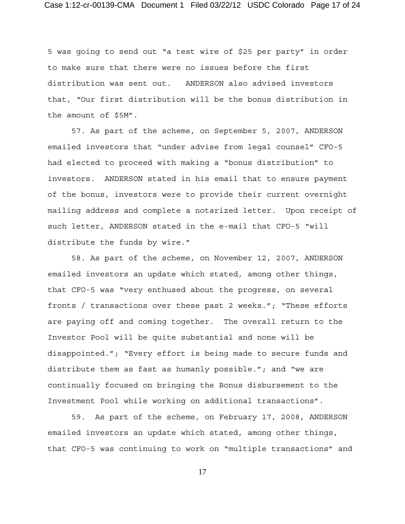5 was going to send out "a test wire of \$25 per party" in order to make sure that there were no issues before the first distribution was sent out. ANDERSON also advised investors that, "Our first distribution will be the bonus distribution in the amount of \$5M".

57. As part of the scheme, on September 5, 2007, ANDERSON emailed investors that "under advise from legal counsel" CFO-5 had elected to proceed with making a "bonus distribution" to investors. ANDERSON stated in his email that to ensure payment of the bonus, investors were to provide their current overnight mailing address and complete a notarized letter. Upon receipt of such letter, ANDERSON stated in the e-mail that CFO-5 "will distribute the funds by wire."

58. As part of the scheme, on November 12, 2007, ANDERSON emailed investors an update which stated, among other things, that CFO-5 was "very enthused about the progress, on several fronts / transactions over these past 2 weeks."; "These efforts are paying off and coming together. The overall return to the Investor Pool will be quite substantial and none will be disappointed."; "Every effort is being made to secure funds and distribute them as fast as humanly possible."; and "we are continually focused on bringing the Bonus disbursement to the Investment Pool while working on additional transactions".

59. As part of the scheme, on February 17, 2008, ANDERSON emailed investors an update which stated, among other things, that CFO-5 was continuing to work on "multiple transactions" and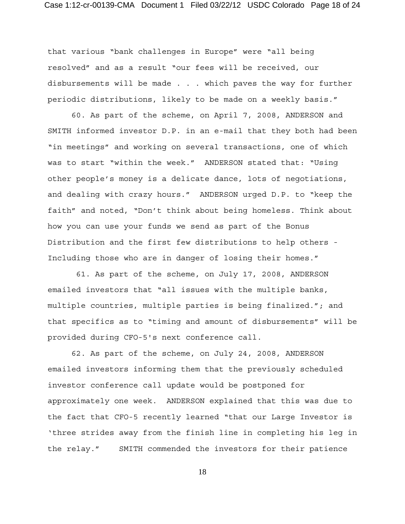that various "bank challenges in Europe" were "all being resolved" and as a result "our fees will be received, our disbursements will be made . . . which paves the way for further periodic distributions, likely to be made on a weekly basis."

60. As part of the scheme, on April 7, 2008, ANDERSON and SMITH informed investor D.P. in an e-mail that they both had been "in meetings" and working on several transactions, one of which was to start "within the week." ANDERSON stated that: "Using other people's money is a delicate dance, lots of negotiations, and dealing with crazy hours." ANDERSON urged D.P. to "keep the faith" and noted, "Don't think about being homeless. Think about how you can use your funds we send as part of the Bonus Distribution and the first few distributions to help others - Including those who are in danger of losing their homes."

 61. As part of the scheme, on July 17, 2008, ANDERSON emailed investors that "all issues with the multiple banks, multiple countries, multiple parties is being finalized."; and that specifics as to "timing and amount of disbursements" will be provided during CFO-5's next conference call.

62. As part of the scheme, on July 24, 2008, ANDERSON emailed investors informing them that the previously scheduled investor conference call update would be postponed for approximately one week. ANDERSON explained that this was due to the fact that CFO-5 recently learned "that our Large Investor is 'three strides away from the finish line in completing his leg in the relay." SMITH commended the investors for their patience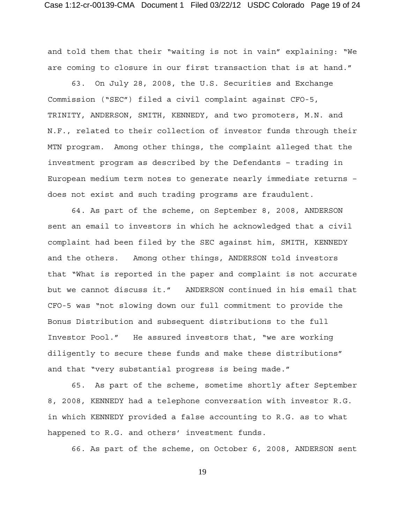and told them that their "waiting is not in vain" explaining: "We are coming to closure in our first transaction that is at hand."

63. On July 28, 2008, the U.S. Securities and Exchange Commission ("SEC") filed a civil complaint against CFO-5, TRINITY, ANDERSON, SMITH, KENNEDY, and two promoters, M.N. and N.F., related to their collection of investor funds through their MTN program. Among other things, the complaint alleged that the investment program as described by the Defendants – trading in European medium term notes to generate nearly immediate returns – does not exist and such trading programs are fraudulent.

64. As part of the scheme, on September 8, 2008, ANDERSON sent an email to investors in which he acknowledged that a civil complaint had been filed by the SEC against him, SMITH, KENNEDY and the others. Among other things, ANDERSON told investors that "What is reported in the paper and complaint is not accurate but we cannot discuss it." ANDERSON continued in his email that CFO-5 was "not slowing down our full commitment to provide the Bonus Distribution and subsequent distributions to the full Investor Pool." He assured investors that, "we are working diligently to secure these funds and make these distributions" and that "very substantial progress is being made."

65. As part of the scheme, sometime shortly after September 8, 2008, KENNEDY had a telephone conversation with investor R.G. in which KENNEDY provided a false accounting to R.G. as to what happened to R.G. and others' investment funds.

66. As part of the scheme, on October 6, 2008, ANDERSON sent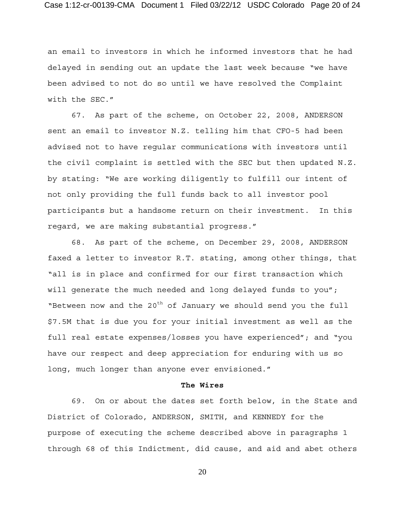an email to investors in which he informed investors that he had delayed in sending out an update the last week because "we have been advised to not do so until we have resolved the Complaint with the SEC."

67. As part of the scheme, on October 22, 2008, ANDERSON sent an email to investor N.Z. telling him that CFO-5 had been advised not to have regular communications with investors until the civil complaint is settled with the SEC but then updated N.Z. by stating: "We are working diligently to fulfill our intent of not only providing the full funds back to all investor pool participants but a handsome return on their investment. In this regard, we are making substantial progress."

68. As part of the scheme, on December 29, 2008, ANDERSON faxed a letter to investor R.T. stating, among other things, that "all is in place and confirmed for our first transaction which will generate the much needed and long delayed funds to you"; "Between now and the  $20^{th}$  of January we should send you the full \$7.5M that is due you for your initial investment as well as the full real estate expenses/losses you have experienced"; and "you have our respect and deep appreciation for enduring with us so long, much longer than anyone ever envisioned."

### **The Wires**

69. On or about the dates set forth below, in the State and District of Colorado, ANDERSON, SMITH, and KENNEDY for the purpose of executing the scheme described above in paragraphs 1 through 68 of this Indictment, did cause, and aid and abet others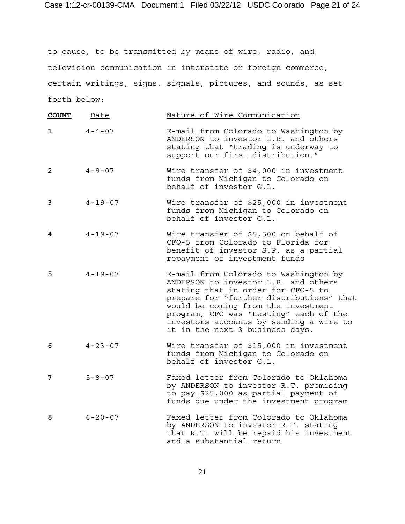to cause, to be transmitted by means of wire, radio, and television communication in interstate or foreign commerce, certain writings, signs, signals, pictures, and sounds, as set forth below:

| <b>COUNT</b> | Date          | Nature of Wire Communication                                                                                                                                                                                                                                                                                                   |
|--------------|---------------|--------------------------------------------------------------------------------------------------------------------------------------------------------------------------------------------------------------------------------------------------------------------------------------------------------------------------------|
| 1            | $4 - 4 - 07$  | E-mail from Colorado to Washington by<br>ANDERSON to investor L.B. and others<br>stating that "trading is underway to<br>support our first distribution."                                                                                                                                                                      |
| $\mathbf{2}$ | $4 - 9 - 07$  | Wire transfer of \$4,000 in investment<br>funds from Michigan to Colorado on<br>behalf of investor G.L.                                                                                                                                                                                                                        |
| 3            | $4 - 19 - 07$ | Wire transfer of \$25,000 in investment<br>funds from Michigan to Colorado on<br>behalf of investor G.L.                                                                                                                                                                                                                       |
| 4            | $4 - 19 - 07$ | Wire transfer of \$5,500 on behalf of<br>CFO-5 from Colorado to Florida for<br>benefit of investor S.P. as a partial<br>repayment of investment funds                                                                                                                                                                          |
| 5            | $4 - 19 - 07$ | E-mail from Colorado to Washington by<br>ANDERSON to investor L.B. and others<br>stating that in order for CFO-5 to<br>prepare for "further distributions" that<br>would be coming from the investment<br>program, CFO was "testing" each of the<br>investors accounts by sending a wire to<br>it in the next 3 business days. |
| 6            | $4 - 23 - 07$ | Wire transfer of \$15,000 in investment<br>funds from Michigan to Colorado on<br>behalf of investor G.L.                                                                                                                                                                                                                       |
| 7            | $5 - 8 - 07$  | Faxed letter from Colorado to Oklahoma<br>by ANDERSON to investor R.T. promising<br>to pay \$25,000 as partial payment of<br>funds due under the investment program                                                                                                                                                            |
| 8            | $6 - 20 - 07$ | Faxed letter from Colorado to Oklahoma<br>by ANDERSON to investor R.T. stating<br>that R.T. will be repaid his investment<br>and a substantial return                                                                                                                                                                          |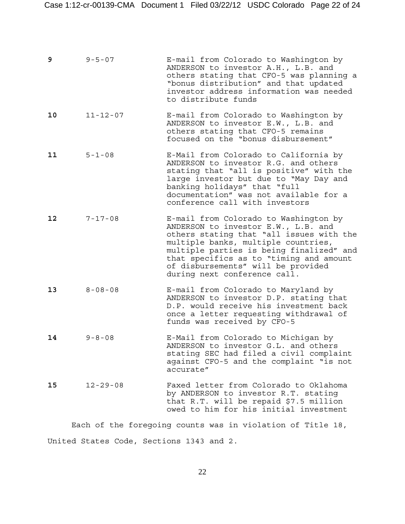| 9  | $9 - 5 - 07$   | E-mail from Colorado to Washington by<br>ANDERSON to investor A.H., L.B. and<br>others stating that CFO-5 was planning a<br>"bonus distribution" and that updated<br>investor address information was needed<br>to distribute funds                                                                                          |
|----|----------------|------------------------------------------------------------------------------------------------------------------------------------------------------------------------------------------------------------------------------------------------------------------------------------------------------------------------------|
| 10 | $11 - 12 - 07$ | E-mail from Colorado to Washington by<br>ANDERSON to investor E.W., L.B. and<br>others stating that CFO-5 remains<br>focused on the "bonus disbursement"                                                                                                                                                                     |
| 11 | $5 - 1 - 08$   | E-Mail from Colorado to California by<br>ANDERSON to investor R.G. and others<br>stating that "all is positive" with the<br>large investor but due to "May Day and<br>banking holidays" that "full<br>documentation" was not available for a<br>conference call with investors                                               |
| 12 | $7 - 17 - 08$  | E-mail from Colorado to Washington by<br>ANDERSON to investor E.W., L.B. and<br>others stating that "all issues with the<br>multiple banks, multiple countries,<br>multiple parties is being finalized" and<br>that specifics as to "timing and amount<br>of disbursements" will be provided<br>during next conference call. |
| 13 | $8 - 08 - 08$  | E-mail from Colorado to Maryland by<br>ANDERSON to investor D.P. stating that<br>D.P. would receive his investment back<br>once a letter requesting withdrawal of<br>funds was received by CFO-5                                                                                                                             |
| 14 | $9 - 8 - 08$   | E-Mail from Colorado to Michigan by<br>ANDERSON to investor G.L. and others<br>stating SEC had filed a civil complaint<br>against CFO-5 and the complaint "is not<br>accurate"                                                                                                                                               |
| 15 | $12 - 29 - 08$ | Faxed letter from Colorado to Oklahoma<br>by ANDERSON to investor R.T. stating<br>that R.T. will be repaid \$7.5 million<br>owed to him for his initial investment                                                                                                                                                           |

Each of the foregoing counts was in violation of Title 18, United States Code, Sections 1343 and 2.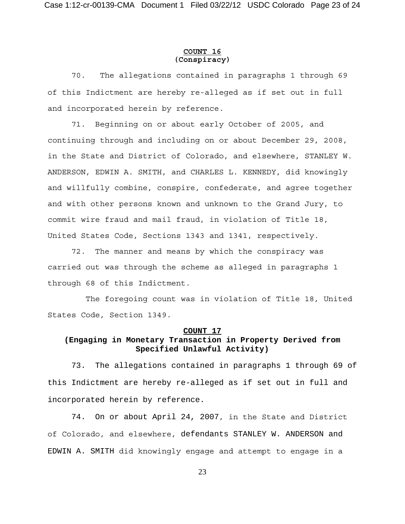### **COUNT 16 (Conspiracy)**

70. The allegations contained in paragraphs 1 through 69 of this Indictment are hereby re-alleged as if set out in full and incorporated herein by reference.

71. Beginning on or about early October of 2005, and continuing through and including on or about December 29, 2008, in the State and District of Colorado, and elsewhere, STANLEY W. ANDERSON, EDWIN A. SMITH, and CHARLES L. KENNEDY, did knowingly and willfully combine, conspire, confederate, and agree together and with other persons known and unknown to the Grand Jury, to commit wire fraud and mail fraud, in violation of Title 18, United States Code, Sections 1343 and 1341, respectively.

72. The manner and means by which the conspiracy was carried out was through the scheme as alleged in paragraphs 1 through 68 of this Indictment.

 The foregoing count was in violation of Title 18, United States Code, Section 1349.

### **COUNT 17**

# **(Engaging in Monetary Transaction in Property Derived from Specified Unlawful Activity)**

73. The allegations contained in paragraphs 1 through 69 of this Indictment are hereby re-alleged as if set out in full and incorporated herein by reference.

74. On or about April 24, 2007, in the State and District of Colorado, and elsewhere, defendants STANLEY W. ANDERSON and EDWIN A. SMITH did knowingly engage and attempt to engage in a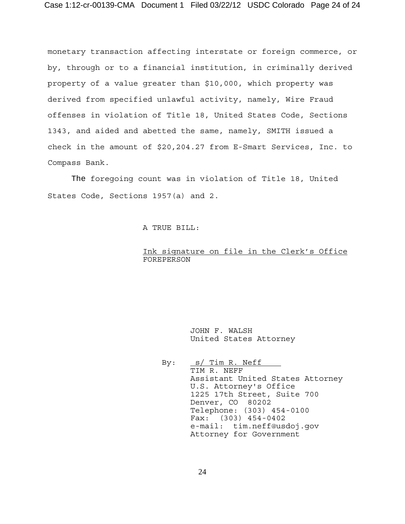monetary transaction affecting interstate or foreign commerce, or by, through or to a financial institution, in criminally derived property of a value greater than \$10,000, which property was derived from specified unlawful activity, namely, Wire Fraud offenses in violation of Title 18, United States Code, Sections 1343, and aided and abetted the same, namely, SMITH issued a check in the amount of \$20,204.27 from E-Smart Services, Inc. to Compass Bank.

The foregoing count was in violation of Title 18, United States Code, Sections 1957(a) and 2.

## A TRUE BILL:

## Ink signature on file in the Clerk's Office FOREPERSON

 JOHN F. WALSH United States Attorney

 By: s/ Tim R. Neff TIM R. NEFF Assistant United States Attorney U.S. Attorney's Office 1225 17th Street, Suite 700 Denver, CO 80202 Telephone: (303) 454-0100 Fax: (303) 454-0402 e-mail: tim.neff@usdoj.gov Attorney for Government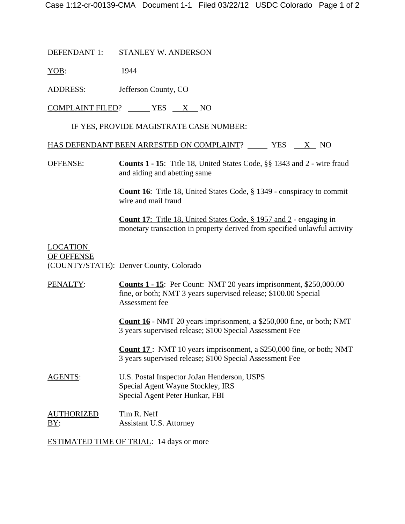DEFENDANT 1: STANLEY W. ANDERSON

YOB: 1944

ADDRESS: Jefferson County, CO

 $COMPLAINT FILED?$  YES  $X$  NO

IF YES, PROVIDE MAGISTRATE CASE NUMBER:

HAS DEFENDANT BEEN ARRESTED ON COMPLAINT? YES X NO

OFFENSE: **Counts 1 - 15**: Title 18, United States Code, §§ 1343 and 2 - wire fraud and aiding and abetting same

> **Count 16**: Title 18, United States Code, § 1349 - conspiracy to commit wire and mail fraud

**Count 17**: Title 18, United States Code, § 1957 and 2 - engaging in monetary transaction in property derived from specified unlawful activity

# LOCATION OF OFFENSE (COUNTY/STATE): Denver County, Colorado

| PENALTY:                 | <b>Counts 1 - 15:</b> Per Count: NMT 20 years imprisonment, \$250,000.00<br>fine, or both; NMT 3 years supervised release; \$100.00 Special<br>Assessment fee |  |  |
|--------------------------|---------------------------------------------------------------------------------------------------------------------------------------------------------------|--|--|
|                          | <b>Count 16</b> - NMT 20 years imprisonment, a \$250,000 fine, or both; NMT<br>3 years supervised release; \$100 Special Assessment Fee                       |  |  |
|                          | <b>Count 17</b> : NMT 10 years imprisonment, a \$250,000 fine, or both; NMT<br>3 years supervised release; \$100 Special Assessment Fee                       |  |  |
| <b>AGENTS:</b>           | U.S. Postal Inspector JoJan Henderson, USPS<br>Special Agent Wayne Stockley, IRS<br>Special Agent Peter Hunkar, FBI                                           |  |  |
| <b>AUTHORIZED</b><br>BY: | Tim R. Neff<br>Assistant U.S. Attorney                                                                                                                        |  |  |

ESTIMATED TIME OF TRIAL: 14 days or more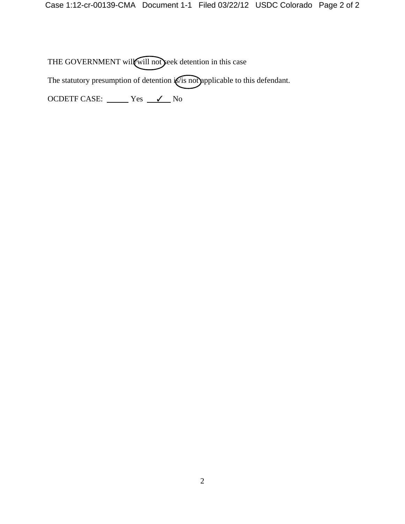THE GOVERNMENT will will not seek detention in this case

The statutory presumption of detention  $\sqrt{s}$  not applicable to this defendant.

OCDETF CASE: Yes <u>V</u> No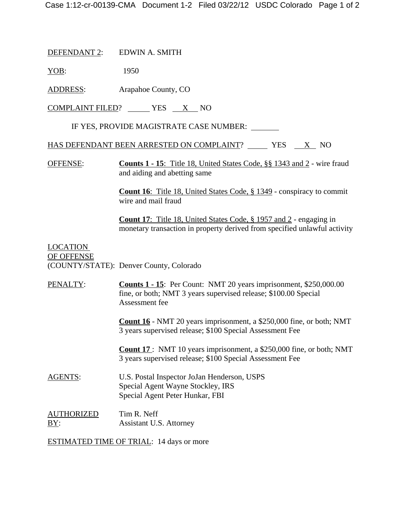DEFENDANT 2: EDWIN A. SMITH

YOB: 1950

ADDRESS: Arapahoe County, CO

 $COMPLAINT FILED?$  YES  $X$  NO

IF YES, PROVIDE MAGISTRATE CASE NUMBER:

HAS DEFENDANT BEEN ARRESTED ON COMPLAINT? YES X NO

OFFENSE: **Counts 1 - 15**: Title 18, United States Code, §§ 1343 and 2 - wire fraud and aiding and abetting same

> **Count 16**: Title 18, United States Code, § 1349 - conspiracy to commit wire and mail fraud

**Count 17**: Title 18, United States Code, § 1957 and 2 - engaging in monetary transaction in property derived from specified unlawful activity

# LOCATION OF OFFENSE (COUNTY/STATE): Denver County, Colorado

| PENALTY:                 | <b>Counts 1 - 15:</b> Per Count: NMT 20 years imprisonment, \$250,000.00<br>fine, or both; NMT 3 years supervised release; \$100.00 Special<br>Assessment fee |  |  |
|--------------------------|---------------------------------------------------------------------------------------------------------------------------------------------------------------|--|--|
|                          | <b>Count 16</b> - NMT 20 years imprisonment, a \$250,000 fine, or both; NMT<br>3 years supervised release; \$100 Special Assessment Fee                       |  |  |
|                          | <b>Count 17</b> : NMT 10 years imprisonment, a $$250,000$ fine, or both; NMT<br>3 years supervised release; \$100 Special Assessment Fee                      |  |  |
| <b>AGENTS:</b>           | U.S. Postal Inspector JoJan Henderson, USPS<br>Special Agent Wayne Stockley, IRS<br>Special Agent Peter Hunkar, FBI                                           |  |  |
| <b>AUTHORIZED</b><br>BY: | Tim R. Neff<br>Assistant U.S. Attorney                                                                                                                        |  |  |

ESTIMATED TIME OF TRIAL: 14 days or more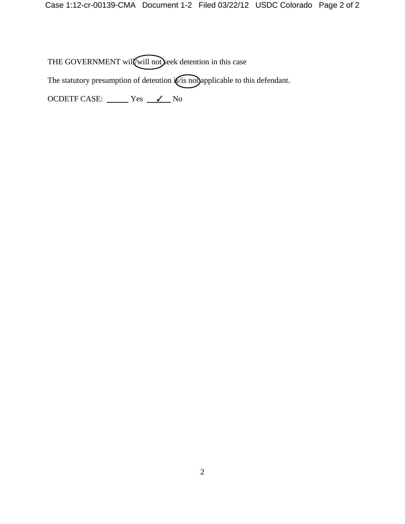THE GOVERNMENT will will not seek detention in this case

The statutory presumption of detention is is not applicable to this defendant.

OCDETF CASE: <u>Ves</u> Ves V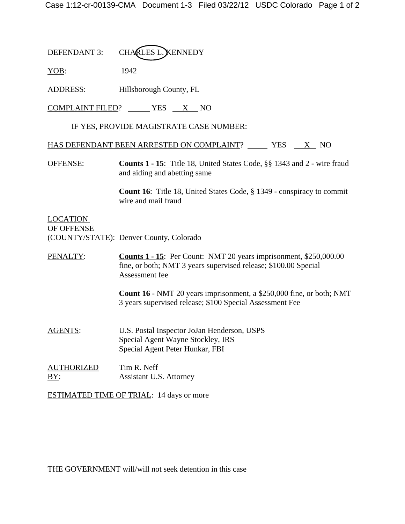DEFENDANT 3: CHARLES L. KENNEDY

YOB: 1942

ADDRESS: Hillsborough County, FL

 $COMPLAINT FILED?$  YES  $X$  NO

IF YES, PROVIDE MAGISTRATE CASE NUMBER:

HAS DEFENDANT BEEN ARRESTED ON COMPLAINT? YES X NO

OFFENSE: **Counts 1 - 15**: Title 18, United States Code, §§ 1343 and 2 - wire fraud and aiding and abetting same

> **Count 16**: Title 18, United States Code, § 1349 - conspiracy to commit wire and mail fraud

LOCATION OF OFFENSE (COUNTY/STATE): Denver County, Colorado

PENALTY: **Counts 1 - 15**: Per Count: NMT 20 years imprisonment, \$250,000.00 fine, or both; NMT 3 years supervised release; \$100.00 Special Assessment fee

> **Count 16** - NMT 20 years imprisonment, a \$250,000 fine, or both; NMT 3 years supervised release; \$100 Special Assessment Fee

- AGENTS: U.S. Postal Inspector JoJan Henderson, USPS Special Agent Wayne Stockley, IRS Special Agent Peter Hunkar, FBI
- AUTHORIZED Tim R. Neff BY: Assistant U.S. Attorney

ESTIMATED TIME OF TRIAL: 14 days or more

THE GOVERNMENT will/will not seek detention in this case